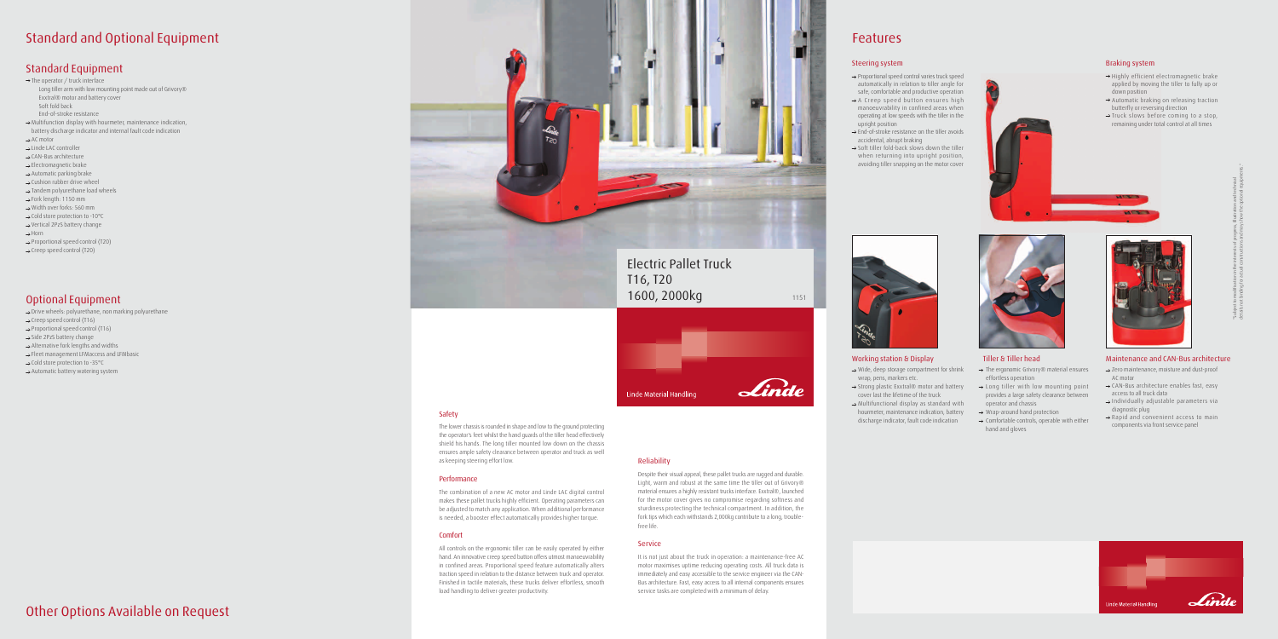### **Working station & Display Tiller & Tiller head Maintenance and CAN-Bus architecture**

- $\rightarrow$  Zero maintenance, moisture and dust-proof AC motor
- → CAN-Bus architecture enables fast, easy access to all truck data
- $\rightarrow$  Individually adjustable parameters via diagnostic plug
- $\rightarrow$  Rapid and convenient access to main components via front service panel



 $\rightarrow$  Strong plastic Exxtral® motor and battery cover last the lifetime of the truck  $\rightarrow$  Multifunctional display as standard with hourmeter, maintenance indication, battery discharge indicator, fault code indication

wrap, pens, markers etc.

- $\rightarrow$  The ergonomic Grivory® material ensures effortless operation
- $\rightarrow$  Long tiller with low mounting point provides a large safety clearance between operator and chassis
- $\rightarrow$  Wrap-around hand protection
- $\rightarrow$  Comfortable controls, operable with either hand and gloves

# **Features**

### **Safety**

The lower chassis is rounded in shape and low to the ground protecting the operator's feet whilst the hand guards of the tiller head effectively shield his hands. The long tiller mounted low down on the chassis ensures ample safety clearance between operator and truck as well as keeping steering effort low.

- $\rightarrow$  Proportional speed control varies truck speed automatically in relation to tiller angle for safe, comfortable and productive operation  $\rightarrow$  A Creep speed button ensures high
- manoeuvrability in confined areas when operating at low speeds with the tiller in the upright position
- $\rightarrow$  End-of-stroke resistance on the tiller avoids accidental, abrupt braking
- $\rightarrow$  Soft tiller fold-back slows down the tiller when returning into upright position, avoiding tiller snapping on the motor cover

 $\rightarrow$  Wide, deep storage compartment for shrink

#### **Performance**

- $\rightarrow$  Highly efficient electromagnetic brake applied by moving the tiller to fully up or down position
- $\rightarrow$  Automatic braking on releasing traction butterfly or reversing direction
- $\rightarrow$  Truck slows before coming to a stop, remaining under total control at all times



The combination of a new AC motor and Linde LAC digital control makes these pallet trucks highly efficient. Operating parameters can be adjusted to match any application. When additional performance is needed, a booster effect automatically provides higher torque.

#### **Comfort**

All controls on the ergonomic tiller can be easily operated by either hand. An innovative creep speed button offers utmost manoeuvrability in confined areas. Proportional speed feature automatically alters traction speed in relation to the distance between truck and operator. Finished in tactile materials, these trucks deliver effortless, smooth load handling to deliver greater productivity.

### **Reliability**

Despite their visual appeal, these pallet trucks are rugged and durable. Light, warm and robust at the same time the tiller out of Grivory® material ensures a highly resistant trucks interface. Exxtral®, launched for the motor cover gives no compromise regarding softness and sturdiness protecting the technical compartment. In addition, the fork tips which each withstands 2,000kg contribute to a long, troublefree life.

### **Service**

It is not just about the truck in operation: a maintenance-free AC motor maximises uptime reducing operating costs. All truck data is immediately and easy accessible to the service engineer via the CAN-Bus architecture. Fast, easy access to all internal components ensures service tasks are completed with a minimum of delay.



## **Other Options Available on Request**

# **Standard and Optional Equipment**

## **Standard Equipment**

 $\rightarrow$  The operator / truck interface

- Long tiller arm with low mounting point made out of Grivory® Exxtral® motor and battery cover Soft fold back
- End-of-stroke resistance
- $\rightarrow$  Multifunction display with hourmeter, maintenance indication,
- battery discharge indicator and internal fault code indication  $\rightarrow$  AC motor
- 
- $\rightarrow$  Linde LAC controller
- $\rightarrow$  CAN-Bus architecture
- $\rightarrow$  Electromagnetic brake
- $\rightarrow$  Automatic parking brake  $\rightarrow$  Cushion rubber drive wheel
- $\rightarrow$  Tandem polyurethane load wheels
- $\rightarrow$  Fork length: 1150 mm
- $\rightarrow$  Width over forks: 560 mm
- $\rightarrow$  Cold store protection to -10 $^{\circ}$ C
- $\rightarrow$  Vertical 2PzS battery change
- $\rightarrow$  Horn
- $\rightarrow$  Proportional speed control (T20)
- $\rightarrow$  Creep speed control (T20)

## **Optional Equipment**

 $\rightarrow$  Drive wheels: polyurethane, non marking polyurethane

- $\rightarrow$  Creep speed control (T16)
- $\rightarrow$  Proportional speed control (T16)
- $\rightarrow$  Side 2PzS battery change
- $\rightarrow$  Alternative fork lengths and widths
- Fleet management LFMaccess and LFMbasic
- $\rightarrow$  Cold store protection to -35 $^{\circ}$ C
- $\rightarrow$  Automatic battery watering system